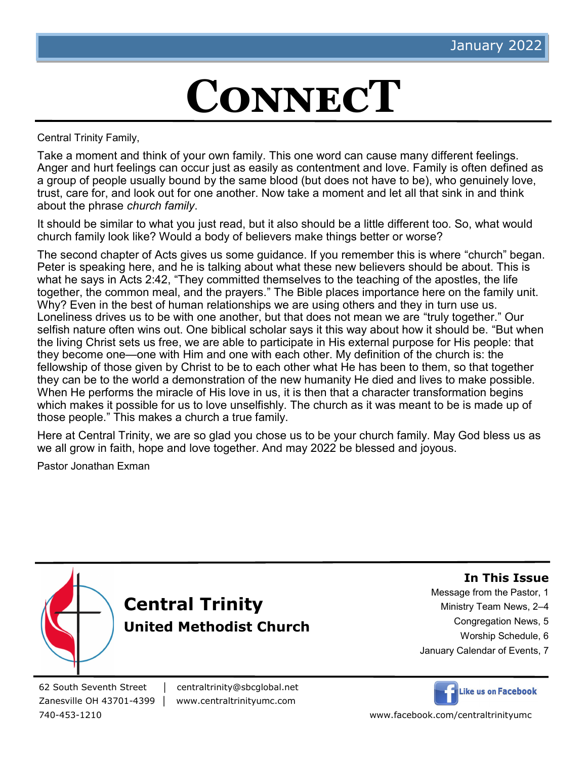# **ConnecT**

Central Trinity Family,

Take a moment and think of your own family. This one word can cause many different feelings. Anger and hurt feelings can occur just as easily as contentment and love. Family is often defined as a group of people usually bound by the same blood (but does not have to be), who genuinely love, trust, care for, and look out for one another. Now take a moment and let all that sink in and think about the phrase *church family*.

It should be similar to what you just read, but it also should be a little different too. So, what would church family look like? Would a body of believers make things better or worse?

The second chapter of Acts gives us some guidance. If you remember this is where "church" began. Peter is speaking here, and he is talking about what these new believers should be about. This is what he says in Acts 2:42, "They committed themselves to the teaching of the apostles, the life together, the common meal, and the prayers." The Bible places importance here on the family unit. Why? Even in the best of human relationships we are using others and they in turn use us. Loneliness drives us to be with one another, but that does not mean we are "truly together." Our selfish nature often wins out. One biblical scholar says it this way about how it should be. "But when the living Christ sets us free, we are able to participate in His external purpose for His people: that they become one—one with Him and one with each other. My definition of the church is: the fellowship of those given by Christ to be to each other what He has been to them, so that together they can be to the world a demonstration of the new humanity He died and lives to make possible. When He performs the miracle of His love in us, it is then that a character transformation begins which makes it possible for us to love unselfishly. The church as it was meant to be is made up of those people." This makes a church a true family.

Here at Central Trinity, we are so glad you chose us to be your church family. May God bless us as we all grow in faith, hope and love together. And may 2022 be blessed and joyous.

Pastor Jonathan Exman



62 South Seventh Street │ centraltrinity@sbcglobal.net Zanesville OH 43701-4399 │ www.centraltrinityumc.com



740-453-1210 www.facebook.com/centraltrinityumc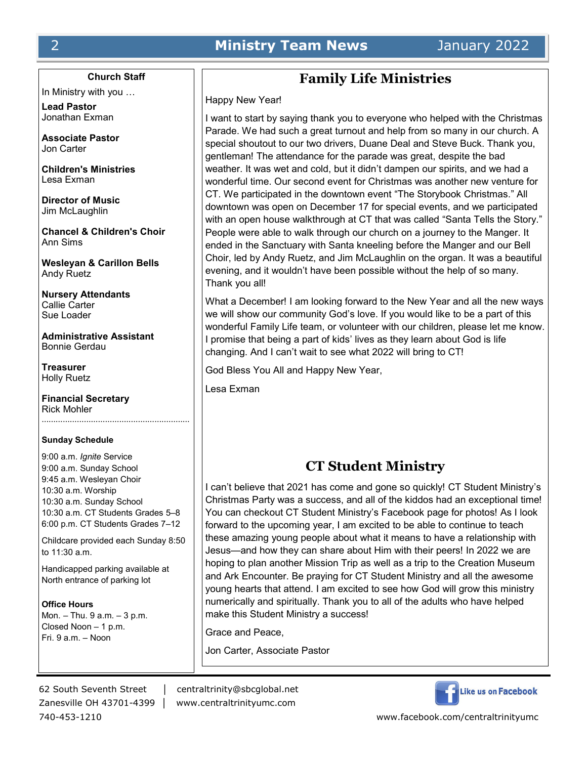#### **Church Staff**

In Ministry with you …

**Lead Pastor** Jonathan Exman

**Associate Pastor** Jon Carter

**Children's Ministries** Lesa Exman

**Director of Music** Jim McLaughlin

**Chancel & Children's Choir** Ann Sims

**Wesleyan & Carillon Bells** Andy Ruetz

**Nursery Attendants** Callie Carter Sue Loader

**Administrative Assistant** Bonnie Gerdau

**Treasurer** Holly Ruetz

**Financial Secretary** Rick Mohler ………………………………………………………

#### **Sunday Schedule**

9:00 a.m. *Ignite* Service 9:00 a.m. Sunday School 9:45 a.m. Wesleyan Choir 10:30 a.m. Worship 10:30 a.m. Sunday School 10:30 a.m. CT Students Grades 5–8 6:00 p.m. CT Students Grades 7–12

Childcare provided each Sunday 8:50 to 11:30 a.m.

Handicapped parking available at North entrance of parking lot

**Office Hours** Mon. – Thu. 9 a.m. – 3 p.m. Closed Noon – 1 p.m. Fri. 9 a.m. – Noon

# **Family Life Ministries**

Happy New Year!

I want to start by saying thank you to everyone who helped with the Christmas Parade. We had such a great turnout and help from so many in our church. A special shoutout to our two drivers, Duane Deal and Steve Buck. Thank you, gentleman! The attendance for the parade was great, despite the bad weather. It was wet and cold, but it didn't dampen our spirits, and we had a wonderful time. Our second event for Christmas was another new venture for CT. We participated in the downtown event "The Storybook Christmas." All downtown was open on December 17 for special events, and we participated with an open house walkthrough at CT that was called "Santa Tells the Story." People were able to walk through our church on a journey to the Manger. It ended in the Sanctuary with Santa kneeling before the Manger and our Bell Choir, led by Andy Ruetz, and Jim McLaughlin on the organ. It was a beautiful evening, and it wouldn't have been possible without the help of so many. Thank you all!

What a December! I am looking forward to the New Year and all the new ways we will show our community God's love. If you would like to be a part of this wonderful Family Life team, or volunteer with our children, please let me know. I promise that being a part of kids' lives as they learn about God is life changing. And I can't wait to see what 2022 will bring to CT!

God Bless You All and Happy New Year,

Lesa Exman

# **CT Student Ministry**

I can't believe that 2021 has come and gone so quickly! CT Student Ministry's Christmas Party was a success, and all of the kiddos had an exceptional time! You can checkout CT Student Ministry's Facebook page for photos! As I look forward to the upcoming year, I am excited to be able to continue to teach these amazing young people about what it means to have a relationship with Jesus—and how they can share about Him with their peers! In 2022 we are hoping to plan another Mission Trip as well as a trip to the Creation Museum and Ark Encounter. Be praying for CT Student Ministry and all the awesome young hearts that attend. I am excited to see how God will grow this ministry numerically and spiritually. Thank you to all of the adults who have helped make this Student Ministry a success!

Grace and Peace,

Jon Carter, Associate Pastor

Zanesville OH 43701-4399 │ www.centraltrinityumc.com

62 South Seventh Street │ centraltrinity@sbcglobal.net



740-453-1210 www.facebook.com/centraltrinityumc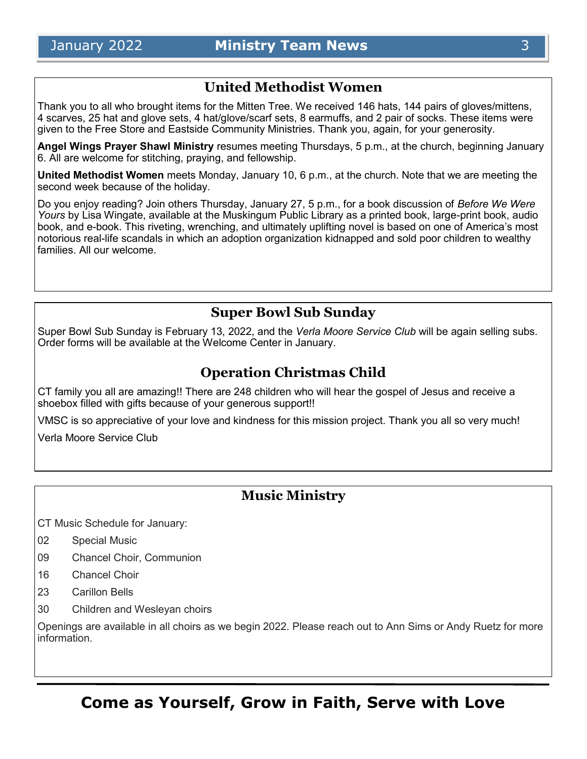## **United Methodist Women**

Thank you to all who brought items for the Mitten Tree. We received 146 hats, 144 pairs of gloves/mittens, 4 scarves, 25 hat and glove sets, 4 hat/glove/scarf sets, 8 earmuffs, and 2 pair of socks. These items were given to the Free Store and Eastside Community Ministries. Thank you, again, for your generosity.

**Angel Wings Prayer Shawl Ministry** resumes meeting Thursdays, 5 p.m., at the church, beginning January 6. All are welcome for stitching, praying, and fellowship.

**United Methodist Women** meets Monday, January 10, 6 p.m., at the church. Note that we are meeting the second week because of the holiday.

Do you enjoy reading? Join others Thursday, January 27, 5 p.m., for a book discussion of *Before We Were Yours* by Lisa Wingate, available at the Muskingum Public Library as a printed book, large-print book, audio book, and e-book. This riveting, wrenching, and ultimately uplifting novel is based on one of America's most notorious real-life scandals in which an adoption organization kidnapped and sold poor children to wealthy families. All our welcome.

# **Super Bowl Sub Sunday**

Super Bowl Sub Sunday is February 13, 2022, and the *Verla Moore Service Club* will be again selling subs*.*  Order forms will be available at the Welcome Center in January.

# **Operation Christmas Child**

CT family you all are amazing!! There are 248 children who will hear the gospel of Jesus and receive a shoebox filled with gifts because of your generous support!!

VMSC is so appreciative of your love and kindness for this mission project. Thank you all so very much!

Verla Moore Service Club

# **Music Ministry**

CT Music Schedule for January:

- 02 Special Music
- 09 Chancel Choir, Communion
- 16 Chancel Choir
- 23 Carillon Bells
- 30 Children and Wesleyan choirs

Openings are available in all choirs as we begin 2022. Please reach out to Ann Sims or Andy Ruetz for more information.

**Come as Yourself, Grow in Faith, Serve with Love**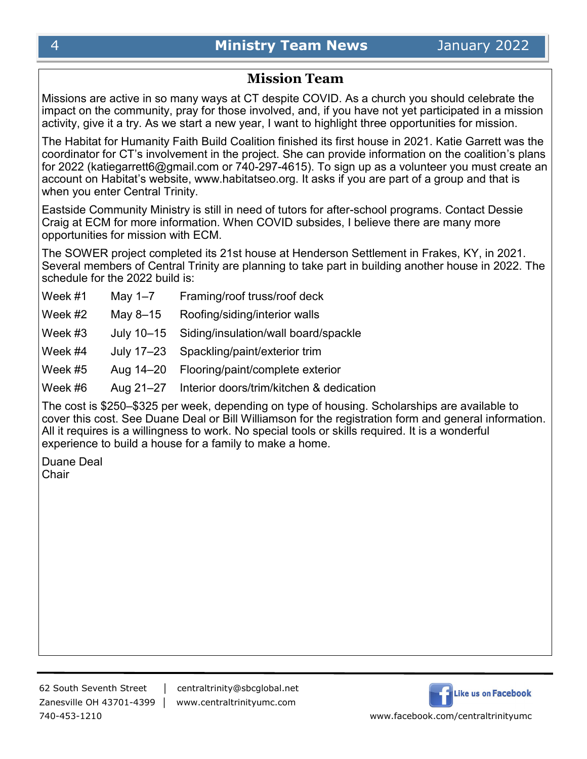# **Mission Team**

Missions are active in so many ways at CT despite COVID. As a church you should celebrate the impact on the community, pray for those involved, and, if you have not yet participated in a mission activity, give it a try. As we start a new year, I want to highlight three opportunities for mission.

The Habitat for Humanity Faith Build Coalition finished its first house in 2021. Katie Garrett was the coordinator for CT's involvement in the project. She can provide information on the coalition's plans for 2022 (katiegarrett6@gmail.com or 740-297-4615). To sign up as a volunteer you must create an account on Habitat's website, www.habitatseo.org. It asks if you are part of a group and that is when you enter Central Trinity.

Eastside Community Ministry is still in need of tutors for after-school programs. Contact Dessie Craig at ECM for more information. When COVID subsides, I believe there are many more opportunities for mission with ECM.

The SOWER project completed its 21st house at Henderson Settlement in Frakes, KY, in 2021. Several members of Central Trinity are planning to take part in building another house in 2022. The schedule for the 2022 build is:

| Week #1 | May $1-7$  | Framing/roof truss/roof deck                       |
|---------|------------|----------------------------------------------------|
| Week #2 | May 8-15   | Roofing/siding/interior walls                      |
| Week #3 | July 10-15 | Siding/insulation/wall board/spackle               |
| Week #4 |            | July 17-23 Spackling/paint/exterior trim           |
| Week #5 | Aug 14–20  | Flooring/paint/complete exterior                   |
| Week #6 |            | Aug 21-27 Interior doors/trim/kitchen & dedication |

The cost is \$250–\$325 per week, depending on type of housing. Scholarships are available to cover this cost. See Duane Deal or Bill Williamson for the registration form and general information. All it requires is a willingness to work. No special tools or skills required. It is a wonderful experience to build a house for a family to make a home.

Duane Deal **Chair** 

62 South Seventh Street │ centraltrinity@sbcglobal.net Zanesville OH 43701-4399 │ www.centraltrinityumc.com

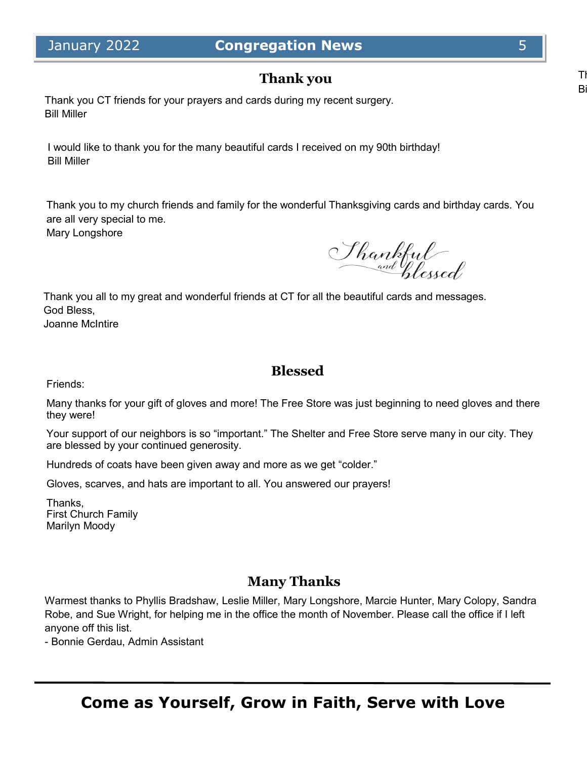# **Thank you**

Thank you CT friends for your prayers and cards during my recent surgery. Bill Miller

I would like to thank you for the many beautiful cards I received on my 90th birthday! Bill Miller

Thank you to my church friends and family for the wonderful Thanksgiving cards and birthday cards. You are all very special to me.

Mary Longshore

Shankful

Thank you all to my great and wonderful friends at CT for all the beautiful cards and messages. God Bless,

Joanne McIntire

# **Blessed**

Friends:

Many thanks for your gift of gloves and more! The Free Store was just beginning to need gloves and there they were!

Your support of our neighbors is so "important." The Shelter and Free Store serve many in our city. They are blessed by your continued generosity.

Hundreds of coats have been given away and more as we get "colder."

Gloves, scarves, and hats are important to all. You answered our prayers!

Thanks, First Church Family Marilyn Moody

# **Many Thanks**

Warmest thanks to Phyllis Bradshaw, Leslie Miller, Mary Longshore, Marcie Hunter, Mary Colopy, Sandra Robe, and Sue Wright, for helping me in the office the month of November. Please call the office if I left anyone off this list.

- Bonnie Gerdau, Admin Assistant

 $\overline{B}$ 

Th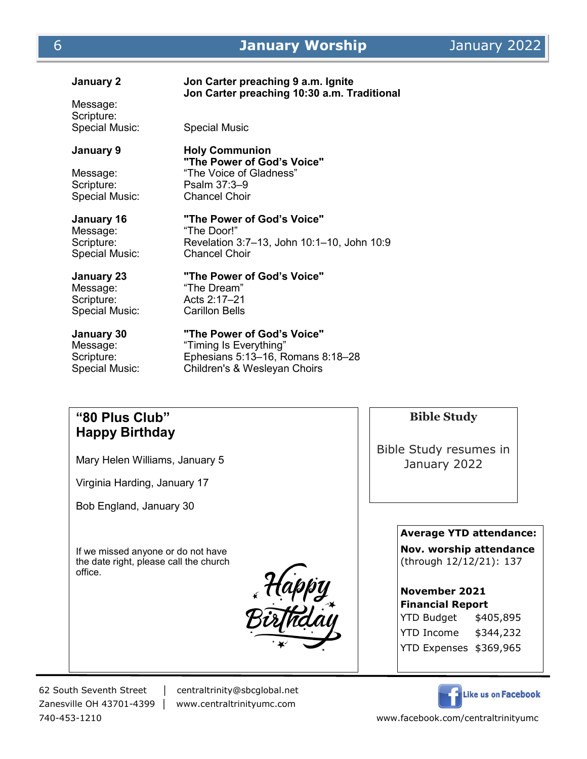### **January 2 Jon Carter preaching 9 a.m. Ignite Jon Carter preaching 10:30 a.m. Traditional** Message: Scripture:<br>Special Music: Special Music **January 9 Holy Communion "The Power of God's Voice"** Message: "The Voice of Gladness" Scripture: Psalm 37:3–9<br>Special Music: Chancel Choir Special Music: **January 16 "The Power of God's Voice"** Message: "The Door!" Scripture: Revelation 3:7–13, John 10:1–10, John 10:9 Special Music: Chancel Choir **January 23 "The Power of God's Voice"** Message: "The Dream" Scripture: Acts 2:17–21 Special Music: Carillon Bells **January 30 "The Power of God's Voice"** Message: "Timing Is Everything" Scripture: Ephesians 5:13–16, Romans 8:18–28 Special Music: Children's & Wesleyan Choirs

## **"80 Plus Club" Happy Birthday**

Mary Helen Williams, January 5

Virginia Harding, January 17

Bob England, January 30

If we missed anyone or do not have the date right, please call the church office.



62 South Seventh Street │ centraltrinity@sbcglobal.net

Zanesville OH 43701-4399 │ www.centraltrinityumc.com

**Bible Study**

Bible Study resumes in January 2022

**Average YTD attendance:** 

**Nov. worship attendance**  (through 12/12/21): 137

#### **November 2021 Financial Report**

YTD Budget \$405,895 YTD Income \$344,232 YTD Expenses \$369,965



740-453-1210 www.facebook.com/centraltrinityumc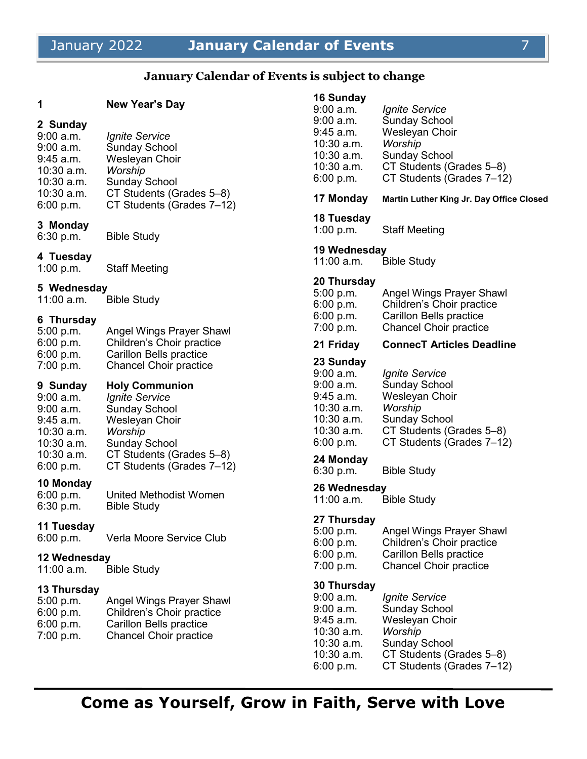# January 2022 **January Calendar of Events** 7

#### **January Calendar of Events is subject to change**

#### **1 New Year's Day**

#### **2 Sunday**

| $9:00$ a.m.  | <b>Ignite Service</b>     |
|--------------|---------------------------|
| $9:00$ a.m.  | <b>Sunday School</b>      |
| $9:45$ a.m.  | Wesleyan Choir            |
| 10:30 a.m.   | Worship                   |
| $10:30$ a.m. | <b>Sunday School</b>      |
| $10:30$ a.m. | CT Students (Grades 5-8)  |
| 6:00 p.m.    | CT Students (Grades 7-12) |

# **3 Monday**

Bible Study

#### **4 Tuesday**

1:00 p.m. Staff Meeting

#### **5 Wednesday**

11:00 a.m. Bible Study

#### **6 Thursday**

| Angel Wings Prayer Shawl      |
|-------------------------------|
| Children's Choir practice     |
| Carillon Bells practice       |
| <b>Chancel Choir practice</b> |
|                               |

#### **9 Sunday Holy Communion**

| 9:00 a.m.  | <b>Ignite Service</b>     |
|------------|---------------------------|
| 9:00 a.m.  | <b>Sunday School</b>      |
| 9:45 a.m.  | Wesleyan Choir            |
| 10:30 a.m. | Worship                   |
| 10:30 a.m. | <b>Sunday School</b>      |
| 10:30 a.m. | CT Students (Grades 5-8)  |
| 6:00 p.m.  | CT Students (Grades 7-12) |
|            |                           |

#### **10 Monday**

6:00 p.m. United Methodist Women 6:30 p.m. Bible Study

#### **11 Tuesday**

6:00 p.m. Verla Moore Service Club

# **12 Wednesday**

Bible Study

#### **13 Thursday**

| 5:00 p.m. | <b>Angel Wings Prayer Shawl</b> |
|-----------|---------------------------------|
| 6:00 p.m. | Children's Choir practice       |
| 6:00 p.m. | Carillon Bells practice         |
| 7:00 p.m. | <b>Chancel Choir practice</b>   |
|           |                                 |

#### **16 Sunday** 9:00 a.m. *Ignite Service*

| $9:00$ a.m.<br>9:45 a.m.<br>10:30 a.m.<br>10:30 a.m.<br>10:30 a.m.<br>6:00 p.m.                           | <b>Sunday School</b><br>Wesleyan Choir<br>Worship<br><b>Sunday School</b><br>CT Students (Grades 5-8)<br>CT Students (Grades 7-12)                                 |
|-----------------------------------------------------------------------------------------------------------|--------------------------------------------------------------------------------------------------------------------------------------------------------------------|
| 17 Monday                                                                                                 | Martin Luther King Jr. Day Office Closed                                                                                                                           |
| 18 Tuesday<br>1:00 p.m.                                                                                   | <b>Staff Meeting</b>                                                                                                                                               |
| 11:00 a.m.                                                                                                | <b>Bible Study</b>                                                                                                                                                 |
| 20 Thursday<br>5:00 p.m.<br>6:00 p.m.<br>6:00 p.m.<br>7:00 p.m.                                           | Angel Wings Prayer Shawl<br>Children's Choir practice<br>Carillon Bells practice<br><b>Chancel Choir practice</b>                                                  |
| 21 Friday                                                                                                 | <b>ConnecT Articles Deadline</b>                                                                                                                                   |
| 23 Sunday<br>$9:00$ a.m.<br>9:00 a.m.<br>9:45 a.m.<br>10:30 a.m.<br>10:30 a.m.<br>10:30 a.m.<br>6:00 p.m. | <i><b>Ignite Service</b></i><br><b>Sunday School</b><br>Wesleyan Choir<br>Worship<br><b>Sunday School</b><br>CT Students (Grades 5-8)<br>CT Students (Grades 7-12) |
| 24 Monday<br>6:30 p.m.                                                                                    | <b>Bible Study</b>                                                                                                                                                 |
| 11:00 a.m.                                                                                                | <b>Bible Study</b>                                                                                                                                                 |
| 27 Thursday<br>5:00 p.m.<br>6:00 p.m.<br>6:00 p.m.<br>7:00 p.m.                                           | <b>Angel Wings Prayer Shawl</b><br>Children's Choir practice<br>Carillon Bells practice<br><b>Chancel Choir practice</b>                                           |
| 30 Thursday<br>9:00 a.m.<br>9:00 a.m.<br>9:45 a.m.<br>10:30 a.m.<br>10:30 a.m.<br>10:30 a.m.<br>6:00 p.m. | <i><b>Ignite Service</b></i><br><b>Sunday School</b><br>Wesleyan Choir<br>Worship<br><b>Sunday School</b><br>CT Students (Grades 5–8)<br>CT Students (Grades 7-12) |
|                                                                                                           | 19 Wednesday<br>26 Wednesday                                                                                                                                       |